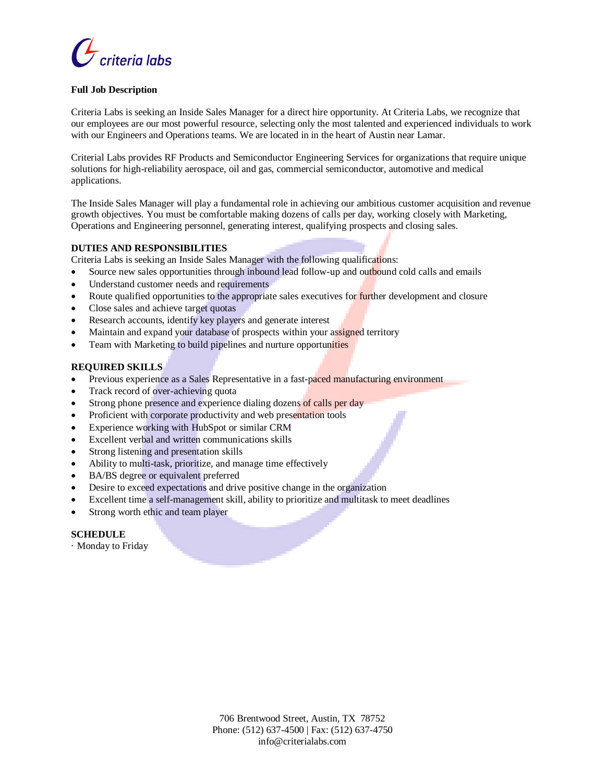

### **Full Job Description**

Criteria Labs is seeking an Inside Sales Manager for a direct hire opportunity. At Criteria Labs, we recognize that our employees are our most powerful resource, selecting only the most talented and experienced individuals to work with our Engineers and Operations teams. We are located in in the heart of Austin near Lamar.

Criterial Labs provides RF Products and Semiconductor Engineering Services for organizations that require unique solutions for high-reliability aerospace, oil and gas, commercial semiconductor, automotive and medical applications.

The Inside Sales Manager will play a fundamental role in achieving our ambitious customer acquisition and revenue growth objectives. You must be comfortable making dozens of calls per day, working closely with Marketing, Operations and Engineering personnel, generating interest, qualifying prospects and closing sales.

### **DUTIES AND RESPONSIBILITIES**

Criteria Labs is seeking an Inside Sales Manager with the following qualifications:

- Source new sales opportunities through inbound lead follow-up and outbound cold calls and emails
- Understand customer needs and requirements
- Route qualified opportunities to the appropriate sales executives for further development and closure
- Close sales and achieve target quotas
- Research accounts, identify key players and generate interest
- Maintain and expand your database of prospects within your assigned territory
- Team with Marketing to build pipelines and nurture opportunities

# **REQUIRED SKILLS**

- Previous experience as a Sales Representative in a fast-paced manufacturing environment
- Track record of over-achieving quota
- Strong phone presence and experience dialing dozens of calls per day
- Proficient with corporate productivity and web presentation tools
- Experience working with HubSpot or similar CRM
- Excellent verbal and written communications skills
- Strong listening and presentation skills
- Ability to multi-task, prioritize, and manage time effectively
- BA/BS degree or equivalent preferred
- Desire to exceed expectations and drive positive change in the organization
- Excellent time a self-management skill, ability to prioritize and multitask to meet deadlines
- Strong worth ethic and team player

# **SCHEDULE**

· Monday to Friday